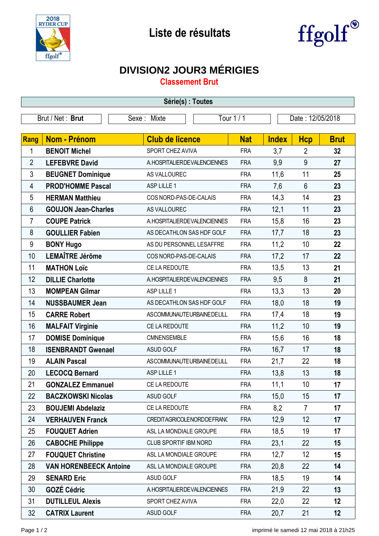



## **DIVISION2 JOUR3 MÉRIGIES**

**Classement Brut**

| Série(s) : Toutes |                               |                                  |            |              |                  |             |  |  |  |  |
|-------------------|-------------------------------|----------------------------------|------------|--------------|------------------|-------------|--|--|--|--|
| Brut / Net: Brut  |                               | Tour 1 / 1<br>Sexe: Mixte        |            |              | Date: 12/05/2018 |             |  |  |  |  |
|                   |                               |                                  |            |              |                  |             |  |  |  |  |
| Rang              | <b>Nom - Prénom</b>           | <b>Club de licence</b>           | <b>Nat</b> | <b>Index</b> | <b>Hcp</b>       | <b>Brut</b> |  |  |  |  |
| 1                 | <b>BENOIT Michel</b>          | SPORT CHEZ AVIVA                 | <b>FRA</b> | 3,7          | $\overline{2}$   | 32          |  |  |  |  |
| $\overline{2}$    | <b>LEFEBVRE David</b>         | A. HOSPITALIER DE VALENCIENNES   | <b>FRA</b> | 9,9          | 9                | 27          |  |  |  |  |
| 3                 | <b>BEUGNET Dominique</b>      | AS VALLOUREC                     | <b>FRA</b> | 11,6         | 11               | 25          |  |  |  |  |
| 4                 | <b>PROD'HOMME Pascal</b>      | ASP LILLE 1                      | <b>FRA</b> | 7,6          | $6\phantom{1}$   | 23          |  |  |  |  |
| 5                 | <b>HERMAN Matthieu</b>        | COS NORD-PAS-DE-CALAIS           | <b>FRA</b> | 14,3         | 14               | 23          |  |  |  |  |
| 6                 | <b>GOUJON Jean-Charles</b>    | AS VALLOUREC                     | <b>FRA</b> | 12,1         | 11               | 23          |  |  |  |  |
| 7                 | <b>COUPE Patrick</b>          | A. HOSPITALIER DE VALENCIENNES   | <b>FRA</b> | 15,8         | 16               | 23          |  |  |  |  |
| 8                 | <b>GOULLIER Fabien</b>        | AS DECATHLON SAS HDF GOLF        | <b>FRA</b> | 17,7         | 18               | 23          |  |  |  |  |
| 9                 | <b>BONY Hugo</b>              | AS DU PERSONNEL LESAFFRE         | <b>FRA</b> | 11,2         | 10               | 22          |  |  |  |  |
| 10                | <b>LEMAÎTRE Jérôme</b>        | COS NORD-PAS-DE-CALAIS           | <b>FRA</b> | 17,2         | 17               | 22          |  |  |  |  |
| 11                | <b>MATHON Loïc</b>            | CE LA REDOUTE                    | <b>FRA</b> | 13,5         | 13               | 21          |  |  |  |  |
| 12                | <b>DILLIE Charlotte</b>       | A. HOSPITALIER DE VALENCIENNES   | <b>FRA</b> | 9,5          | 8                | 21          |  |  |  |  |
| 13                | <b>MOMPEAN Gilmar</b>         | ASP LILLE 1                      | <b>FRA</b> | 13,3         | 13               | 20          |  |  |  |  |
| 14                | <b>NUSSBAUMER Jean</b>        | AS DECATHLON SAS HDF GOLF        | <b>FRA</b> | 18,0         | 18               | 19          |  |  |  |  |
| 15                | <b>CARRE Robert</b>           | ASCOMMUNAUTEURBAINEDELILL        | <b>FRA</b> | 17,4         | 18               | 19          |  |  |  |  |
| 16                | <b>MALFAIT Virginie</b>       | CE LA REDOUTE                    | <b>FRA</b> | 11,2         | 10               | 19          |  |  |  |  |
| 17                | <b>DOMISE Dominique</b>       | CMNENSEMBLE                      | <b>FRA</b> | 15,6         | 16               | 18          |  |  |  |  |
| 18                | <b>ISENBRANDT Gwenael</b>     | <b>ASUD GOLF</b>                 | <b>FRA</b> | 16,7         | 17               | 18          |  |  |  |  |
| 19                | <b>ALAIN Pascal</b>           | <b>ASCOMMUNAUTEURBAINEDELILL</b> | <b>FRA</b> | 21,7         | 22               | 18          |  |  |  |  |
| 20                | <b>LECOCQ Bernard</b>         | ASP LILLE 1                      | <b>FRA</b> | 13,8         | 13               | 18          |  |  |  |  |
| 21                | <b>GONZALEZ Emmanuel</b>      | CE LA REDOUTE                    | <b>FRA</b> | 11,1         | 10               | 17          |  |  |  |  |
| 22                | <b>BACZKOWSKI Nicolas</b>     | ASUD GOLF                        | <b>FRA</b> | 15,0         | 15               | 17          |  |  |  |  |
| 23                | <b>BOUJEMI Abdelaziz</b>      | CE LA REDOUTE                    | <b>FRA</b> | 8,2          | $\overline{7}$   | 17          |  |  |  |  |
| 24                | <b>VERHAUVEN Franck</b>       | CREDITAGRICOLENORDDEFRANC        | <b>FRA</b> | 12,9         | 12               | 17          |  |  |  |  |
| 25                | <b>FOUQUET Adrien</b>         | ASL LA MONDIALE GROUPE           | <b>FRA</b> | 18,5         | 19               | 17          |  |  |  |  |
| 26                | <b>CABOCHE Philippe</b>       | CLUB SPORTIF IBM NORD            | <b>FRA</b> | 23,1         | 22               | 15          |  |  |  |  |
| 27                | <b>FOUQUET Christine</b>      | ASL LA MONDIALE GROUPE           | <b>FRA</b> | 12,7         | 12               | 15          |  |  |  |  |
| 28                | <b>VAN HORENBEECK Antoine</b> | ASL LA MONDIALE GROUPE           | <b>FRA</b> | 20,8         | 22               | 14          |  |  |  |  |
| 29                | <b>SENARD Eric</b>            | ASUD GOLF                        | <b>FRA</b> | 18,5         | 19               | 14          |  |  |  |  |
| 30                | <b>GOZÉ Cédric</b>            | A. HOSPITALIER DE VALENCIENNES   | <b>FRA</b> | 21,9         | 22               | 13          |  |  |  |  |
| 31                | <b>DUTILLEUL Alexis</b>       | SPORT CHEZ AVIVA                 | <b>FRA</b> | 22,0         | 22               | 12          |  |  |  |  |
| 32                | <b>CATRIX Laurent</b>         | ASUD GOLF                        | <b>FRA</b> | 20,7         | 21               | 12          |  |  |  |  |